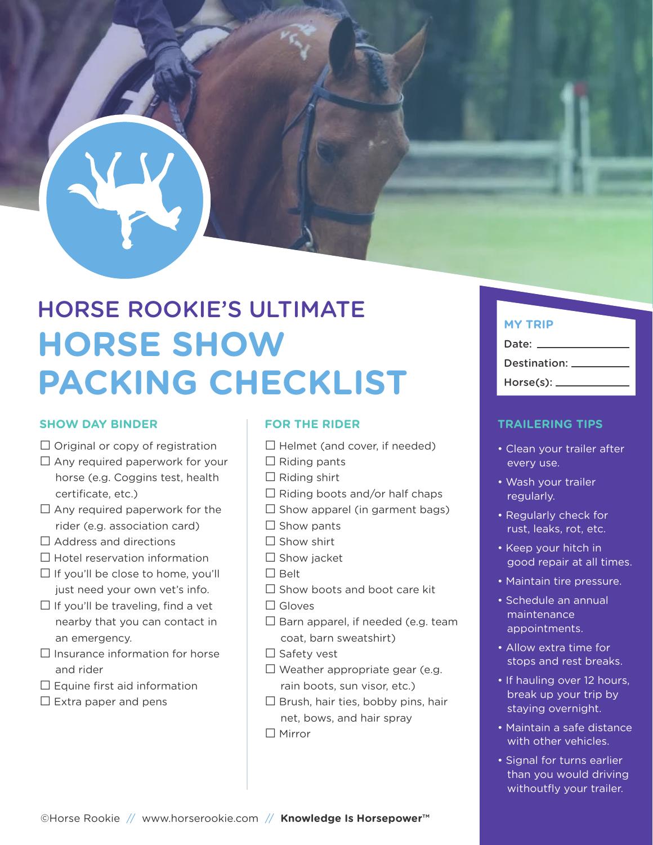# HORSE ROOKIE'S ULTIMATE **HORSE SHOW PACKING CHECKLIST**

### **SHOW DAY BINDER**

- $\Box$  Original or copy of registration
- $\Box$  Any required paperwork for your horse (e.g. Coggins test, health certificate, etc.)
- $\Box$  Any required paperwork for the rider (e.g. association card)
- $\Box$  Address and directions
- $\square$  Hotel reservation information
- $\Box$  If you'll be close to home, you'll just need your own vet's info.
- $\Box$  If you'll be traveling, find a vet nearby that you can contact in an emergency.
- $\Box$  Insurance information for horse and rider
- $\square$  Equine first aid information
- $\Box$  Extra paper and pens

# **FOR THE RIDER**

- $\square$  Helmet (and cover, if needed)
- $\Box$  Riding pants
- $\Box$  Riding shirt
- $\Box$  Riding boots and/or half chaps
- $\Box$  Show apparel (in garment bags)
- $\Box$  Show pants
- $\square$  Show shirt
- □ Show jacket
- □ Belt
- $\Box$  Show boots and boot care kit
- □ Gloves
- $\square$  Barn apparel, if needed (e.g. team coat, barn sweatshirt)
- □ Safety vest
- $\Box$  Weather appropriate gear (e.g. rain boots, sun visor, etc.)
- $\Box$  Brush, hair ties, bobby pins, hair net, bows, and hair spray
- □ Mirror

# **MY TRIP**

# Date: Destination: \_\_\_\_\_ Horse(s): \_\_\_\_\_\_

# **TRAILERING TIPS**

- Clean your trailer after every use.
- Wash your trailer regularly.
- Regularly check for rust, leaks, rot, etc.
- Keep your hitch in good repair at all times.
- Maintain tire pressure.
- Schedule an annual maintenance appointments.
- Allow extra time for stops and rest breaks.
- If hauling over 12 hours, break up your trip by staying overnight.
- Maintain a safe distance with other vehicles.
- Signal for turns earlier than you would driving withoutfly your trailer.